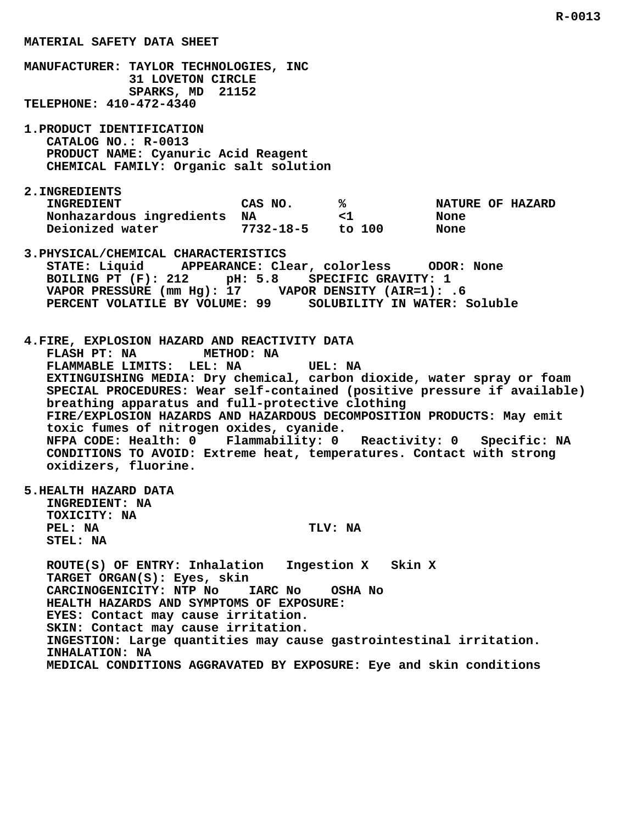**MANUFACTURER: TAYLOR TECHNOLOGIES, INC 31 LOVETON CIRCLE SPARKS, MD 21152 TELEPHONE: 410-472-4340 1.PRODUCT IDENTIFICATION CATALOG NO.: R-0013 PRODUCT NAME: Cyanuric Acid Reagent CHEMICAL FAMILY: Organic salt solution 2.INGREDIENTS** INGREDIENT CAS NO.  $\begin{array}{ccc} 8 \\ 8 \end{array}$  NATURE OF HAZARD<br>Nonhazardous ingredients NA  $\begin{array}{ccc} 2 \\ 1 \end{array}$  <1  **Nonhazardous ingredients NA <1 None Deionized water 7732-18-5 to 100 None 3.PHYSICAL/CHEMICAL CHARACTERISTICS STATE: Liquid APPEARANCE: Clear, colorless ODOR: None BOILING PT (F): 212 pH: 5.8 SPECIFIC GRAVITY: 1 VAPOR PRESSURE (mm Hg): 17 VAPOR DENSITY (AIR=1): .6 PERCENT VOLATILE BY VOLUME: 99 SOLUBILITY IN WATER: Soluble 4.FIRE, EXPLOSION HAZARD AND REACTIVITY DATA FLASH PT: NA METHOD: NA FLAMMABLE LIMITS: LEL: NA UEL: NA EXTINGUISHING MEDIA: Dry chemical, carbon dioxide, water spray or foam SPECIAL PROCEDURES: Wear self-contained (positive pressure if available) breathing apparatus and full-protective clothing FIRE/EXPLOSION HAZARDS AND HAZARDOUS DECOMPOSITION PRODUCTS: May emit toxic fumes of nitrogen oxides, cyanide. NFPA CODE: Health: 0 Flammability: 0 Reactivity: 0 Specific: NA CONDITIONS TO AVOID: Extreme heat, temperatures. Contact with strong oxidizers, fluorine. 5.HEALTH HAZARD DATA INGREDIENT: NA TOXICITY: NA PEL:** NA TLV: NA  **STEL: NA ROUTE(S) OF ENTRY: Inhalation Ingestion X Skin X TARGET ORGAN(S): Eyes, skin CARCINOGENICITY: NTP No IARC No OSHA No HEALTH HAZARDS AND SYMPTOMS OF EXPOSURE: EYES: Contact may cause irritation. SKIN: Contact may cause irritation. INGESTION: Large quantities may cause gastrointestinal irritation. INHALATION: NA**

 **MATERIAL SAFETY DATA SHEET**

 **MEDICAL CONDITIONS AGGRAVATED BY EXPOSURE: Eye and skin conditions**